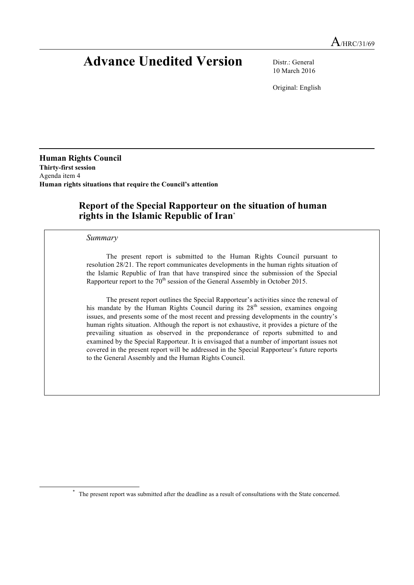# **Advance Unedited Version** Distr.: General

10 March 2016

Original: English

**Human Rights Council Thirty-first session** Agenda item 4 **Human rights situations that require the Council's attention**

# **Report of the Special Rapporteur on the situation of human rights in the Islamic Republic of Iran**\*

#### *Summary*

The present report is submitted to the Human Rights Council pursuant to resolution 28/21. The report communicates developments in the human rights situation of the Islamic Republic of Iran that have transpired since the submission of the Special Rapporteur report to the  $70<sup>th</sup>$  session of the General Assembly in October 2015.

The present report outlines the Special Rapporteur's activities since the renewal of his mandate by the Human Rights Council during its  $28<sup>th</sup>$  session, examines ongoing issues, and presents some of the most recent and pressing developments in the country's human rights situation. Although the report is not exhaustive, it provides a picture of the prevailing situation as observed in the preponderance of reports submitted to and examined by the Special Rapporteur. It is envisaged that a number of important issues not covered in the present report will be addressed in the Special Rapporteur's future reports to the General Assembly and the Human Rights Council.

 <sup>\*</sup> The present report was submitted after the deadline as <sup>a</sup> result of consultations with the State concerned.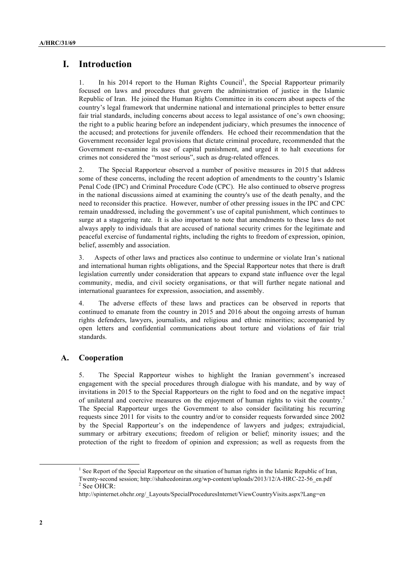# **I. Introduction**

1. In his 2014 report to the Human Rights Council<sup>1</sup>, the Special Rapporteur primarily focused on laws and procedures that govern the administration of justice in the Islamic Republic of Iran. He joined the Human Rights Committee in its concern about aspects of the country's legal framework that undermine national and international principles to better ensure fair trial standards, including concerns about access to legal assistance of one's own choosing; the right to a public hearing before an independent judiciary, which presumes the innocence of the accused; and protections for juvenile offenders. He echoed their recommendation that the Government reconsider legal provisions that dictate criminal procedure, recommended that the Government re-examine its use of capital punishment, and urged it to halt executions for crimes not considered the "most serious", such as drug-related offences.

2. The Special Rapporteur observed a number of positive measures in 2015 that address some of these concerns, including the recent adoption of amendments to the country's Islamic Penal Code (IPC) and Criminal Procedure Code (CPC). He also continued to observe progress in the national discussions aimed at examining the country's use of the death penalty, and the need to reconsider this practice. However, number of other pressing issues in the IPC and CPC remain unaddressed, including the government's use of capital punishment, which continues to surge at a staggering rate. It is also important to note that amendments to these laws do not always apply to individuals that are accused of national security crimes for the legitimate and peaceful exercise of fundamental rights, including the rights to freedom of expression, opinion, belief, assembly and association.

3. Aspects of other laws and practices also continue to undermine or violate Iran's national and international human rights obligations, and the Special Rapporteur notes that there is draft legislation currently under consideration that appears to expand state influence over the legal community, media, and civil society organisations, or that will further negate national and international guarantees for expression, association, and assembly.

4. The adverse effects of these laws and practices can be observed in reports that continued to emanate from the country in 2015 and 2016 about the ongoing arrests of human rights defenders, lawyers, journalists, and religious and ethnic minorities; accompanied by open letters and confidential communications about torture and violations of fair trial standards.

## **A. Cooperation**

5. The Special Rapporteur wishes to highlight the Iranian government's increased engagement with the special procedures through dialogue with his mandate, and by way of invitations in 2015 to the Special Rapporteurs on the right to food and on the negative impact of unilateral and coercive measures on the enjoyment of human rights to visit the country.<sup>2</sup> The Special Rapporteur urges the Government to also consider facilitating his recurring requests since 2011 for visits to the country and/or to consider requests forwarded since 2002 by the Special Rapporteur's on the independence of lawyers and judges; extrajudicial, summary or arbitrary executions; freedom of religion or belief; minority issues; and the protection of the right to freedom of opinion and expression; as well as requests from the

<sup>&</sup>lt;sup>1</sup> See Report of the Special Rapporteur on the situation of human rights in the Islamic Republic of Iran, Twenty-second session; http://shaheedoniran.org/wp-content/uploads/2013/12/A-HRC-22-56\_en.pdf <sup>2</sup> See OHCR:

http://spinternet.ohchr.org/\_Layouts/SpecialProceduresInternet/ViewCountryVisits.aspx?Lang=en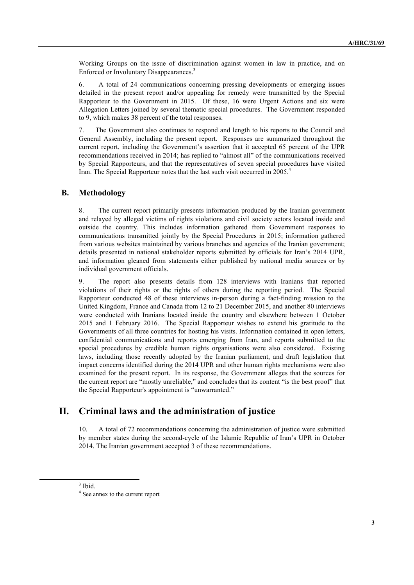Working Groups on the issue of discrimination against women in law in practice, and on Enforced or Involuntary Disappearances.<sup>3</sup>

6. A total of 24 communications concerning pressing developments or emerging issues detailed in the present report and/or appealing for remedy were transmitted by the Special Rapporteur to the Government in 2015. Of these, 16 were Urgent Actions and six were Allegation Letters joined by several thematic special procedures. The Government responded to 9, which makes 38 percent of the total responses.

7. The Government also continues to respond and length to his reports to the Council and General Assembly, including the present report. Responses are summarized throughout the current report, including the Government's assertion that it accepted 65 percent of the UPR recommendations received in 2014; has replied to "almost all" of the communications received by Special Rapporteurs, and that the representatives of seven special procedures have visited Iran. The Special Rapporteur notes that the last such visit occurred in 2005.<sup>4</sup>

#### **B. Methodology**

8. The current report primarily presents information produced by the Iranian government and relayed by alleged victims of rights violations and civil society actors located inside and outside the country. This includes information gathered from Government responses to communications transmitted jointly by the Special Procedures in 2015; information gathered from various websites maintained by various branches and agencies of the Iranian government; details presented in national stakeholder reports submitted by officials for Iran's 2014 UPR, and information gleaned from statements either published by national media sources or by individual government officials.

9. The report also presents details from 128 interviews with Iranians that reported violations of their rights or the rights of others during the reporting period. The Special Rapporteur conducted 48 of these interviews in-person during a fact-finding mission to the United Kingdom, France and Canada from 12 to 21 December 2015, and another 80 interviews were conducted with Iranians located inside the country and elsewhere between 1 October 2015 and 1 February 2016. The Special Rapporteur wishes to extend his gratitude to the Governments of all three countries for hosting his visits. Information contained in open letters, confidential communications and reports emerging from Iran, and reports submitted to the special procedures by credible human rights organisations were also considered. Existing laws, including those recently adopted by the Iranian parliament, and draft legislation that impact concerns identified during the 2014 UPR and other human rights mechanisms were also examined for the present report. In its response, the Government alleges that the sources for the current report are "mostly unreliable," and concludes that its content "is the best proof" that the Special Rapporteur's appointment is "unwarranted."

# **II. Criminal laws and the administration of justice**

10. A total of 72 recommendations concerning the administration of justice were submitted by member states during the second-cycle of the Islamic Republic of Iran's UPR in October 2014. The Iranian government accepted 3 of these recommendations.

 <sup>3</sup> Ibid.

<sup>4</sup> See annex to the current report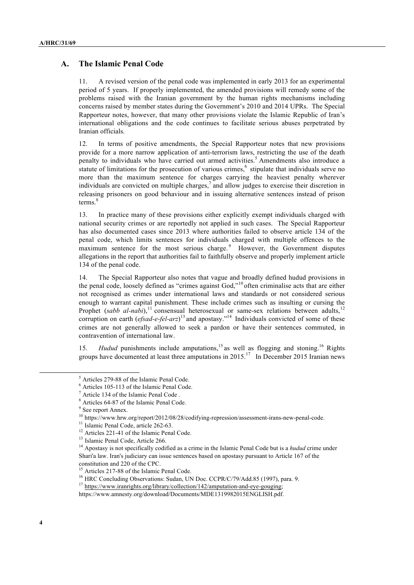## **A. The Islamic Penal Code**

11. A revised version of the penal code was implemented in early 2013 for an experimental period of 5 years. If properly implemented, the amended provisions will remedy some of the problems raised with the Iranian government by the human rights mechanisms including concerns raised by member states during the Government's 2010 and 2014 UPRs. The Special Rapporteur notes, however, that many other provisions violate the Islamic Republic of Iran's international obligations and the code continues to facilitate serious abuses perpetrated by Iranian officials.

12. In terms of positive amendments, the Special Rapporteur notes that new provisions provide for a more narrow application of anti-terrorism laws, restricting the use of the death penalty to individuals who have carried out armed activities.<sup>5</sup> Amendments also introduce a statute of limitations for the prosecution of various crimes, $6$  stipulate that individuals serve no more than the maximum sentence for charges carrying the heaviest penalty wherever individuals are convicted on multiple charges, $\alpha$  and allow judges to exercise their discretion in releasing prisoners on good behaviour and in issuing alternative sentences instead of prison terms.<sup>8</sup>

13. In practice many of these provisions either explicitly exempt individuals charged with national security crimes or are reportedly not applied in such cases. The Special Rapporteur has also documented cases since 2013 where authorities failed to observe article 134 of the penal code, which limits sentences for individuals charged with multiple offences to the maximum sentence for the most serious charge.  $9$  However, the Government disputes allegations in the report that authorities fail to faithfully observe and properly implement article 134 of the penal code.

14. The Special Rapporteur also notes that vague and broadly defined hudud provisions in the penal code, loosely defined as "crimes against God,"<sup>10</sup> often criminalise acts that are either not recognised as crimes under international laws and standards or not considered serious enough to warrant capital punishment. These include crimes such as insulting or cursing the Prophet ( $sabb$   $al$ - $nabi$ ),<sup>11</sup> consensual heterosexual or same-sex relations between adults,<sup>12</sup> corruption on earth (*efsad-e-fel-arz*)<sup>13</sup> and apostasy."<sup>14</sup> Individuals convicted of some of these crimes are not generally allowed to seek a pardon or have their sentences commuted, in contravention of international law.

15. *Hudud* punishments include amputations,<sup>15</sup> as well as flogging and stoning.<sup>16</sup> Rights groups have documented at least three amputations in  $2015$ .<sup>17</sup> In December 2015 Iranian news

 <sup>5</sup> Articles 279-88 of the Islamic Penal Code.

<sup>6</sup> Articles 105-113 of the Islamic Penal Code.

<sup>7</sup> Article 134 of the Islamic Penal Code .

<sup>8</sup> Articles 64-87 of the Islamic Penal Code.

<sup>&</sup>lt;sup>9</sup> See report Annex.

<sup>&</sup>lt;sup>10</sup> https://www.hrw.org/report/2012/08/28/codifying-repression/assessment-irans-new-penal-code.

<sup>&</sup>lt;sup>11</sup> Islamic Penal Code, article 262-63.

<sup>&</sup>lt;sup>12</sup> Articles 221-41 of the Islamic Penal Code.

<sup>&</sup>lt;sup>13</sup> Islamic Penal Code, Article 266.

<sup>&</sup>lt;sup>14</sup> Apostasy is not specifically codified as a crime in the Islamic Penal Code but is a *hudud* crime under Shari'a law. Iran's judiciary can issue sentences based on apostasy pursuant to Article 167 of the constitution and 220 of the CPC.

<sup>&</sup>lt;sup>15</sup> Articles 217-88 of the Islamic Penal Code.

<sup>&</sup>lt;sup>16</sup> HRC Concluding Observations: Sudan, UN Doc. CCPR/C/79/Add.85 (1997), para. 9.

<sup>&</sup>lt;sup>17</sup> https://www.iranrights.org/library/collection/142/amputation-and-eye-gouging;

https://www.amnesty.org/download/Documents/MDE1319982015ENGLISH.pdf.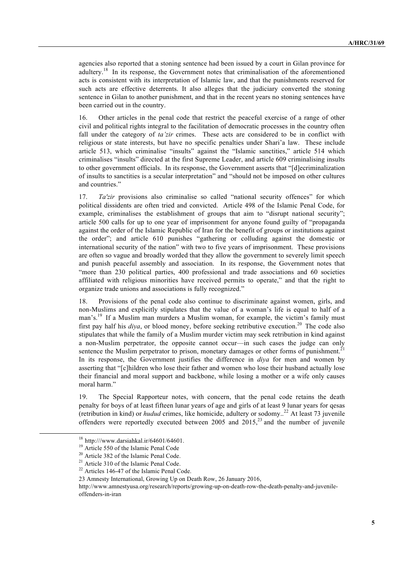agencies also reported that a stoning sentence had been issued by a court in Gilan province for adultery.<sup>18</sup> In its response, the Government notes that criminalisation of the aforementioned acts is consistent with its interpretation of Islamic law, and that the punishments reserved for such acts are effective deterrents. It also alleges that the judiciary converted the stoning sentence in Gilan to another punishment, and that in the recent years no stoning sentences have been carried out in the country.

16. Other articles in the penal code that restrict the peaceful exercise of a range of other civil and political rights integral to the facilitation of democratic processes in the country often fall under the category of *ta'zir* crimes. These acts are considered to be in conflict with religious or state interests, but have no specific penalties under Shari'a law. These include article 513, which criminalise "insults" against the "Islamic sanctities," article 514 which criminalises "insults" directed at the first Supreme Leader, and article 609 criminalising insults to other government officials. In its response, the Government asserts that "[d]ecriminalization of insults to sanctities is a secular interpretation" and "should not be imposed on other cultures and countries."

17. *Ta'zir* provisions also criminalise so called "national security offences" for which political dissidents are often tried and convicted. Article 498 of the Islamic Penal Code, for example, criminalises the establishment of groups that aim to "disrupt national security"; article 500 calls for up to one year of imprisonment for anyone found guilty of "propaganda against the order of the Islamic Republic of Iran for the benefit of groups or institutions against the order"; and article 610 punishes "gathering or colluding against the domestic or international security of the nation" with two to five years of imprisonment. These provisions are often so vague and broadly worded that they allow the government to severely limit speech and punish peaceful assembly and association. In its response, the Government notes that "more than 230 political parties, 400 professional and trade associations and 60 societies affiliated with religious minorities have received permits to operate," and that the right to organize trade unions and associations is fully recognized."

18. Provisions of the penal code also continue to discriminate against women, girls, and non-Muslims and explicitly stipulates that the value of a woman's life is equal to half of a man's.<sup>19</sup> If a Muslim man murders a Muslim woman, for example, the victim's family must first pay half his *diya*, or blood money, before seeking retributive execution.<sup>20</sup> The code also stipulates that while the family of a Muslim murder victim may seek retribution in kind against a non-Muslim perpetrator, the opposite cannot occur—in such cases the judge can only sentence the Muslim perpetrator to prison, monetary damages or other forms of punishment.<sup>21</sup> In its response, the Government justifies the difference in *diya* for men and women by asserting that "[c]hildren who lose their father and women who lose their husband actually lose their financial and moral support and backbone, while losing a mother or a wife only causes moral harm."

19. The Special Rapporteur notes, with concern, that the penal code retains the death penalty for boys of at least fifteen lunar years of age and girls of at least 9 lunar years for qesas (retribution in kind) or *hudud* crimes, like homicide, adultery or sodomy..<sup>22</sup> At least 73 juvenile offenders were reportedly executed between 2005 and 2015, $^{23}$  and the number of juvenile

 <sup>18</sup> http:///www.darsiahkal.ir/64601/64601.

<sup>19</sup> Article 550 of the Islamic Penal Code

<sup>&</sup>lt;sup>20</sup> Article 382 of the Islamic Penal Code.

<sup>&</sup>lt;sup>21</sup> Article 310 of the Islamic Penal Code.

<sup>22</sup> Articles 146-47 of the Islamic Penal Code.

<sup>23</sup> Amnesty International, Growing Up on Death Row, 26 January 2016,

http://www.amnestyusa.org/research/reports/growing-up-on-death-row-the-death-penalty-and-juvenileoffenders-in-iran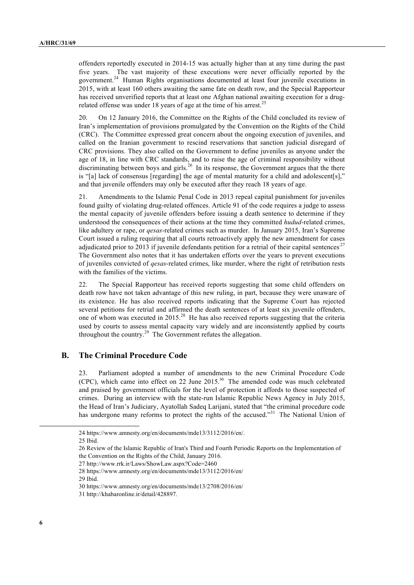offenders reportedly executed in 2014-15 was actually higher than at any time during the past five years. The vast majority of these executions were never officially reported by the government.24 Human Rights organisations documented at least four juvenile executions in 2015, with at least 160 others awaiting the same fate on death row, and the Special Rapporteur has received unverified reports that at least one Afghan national awaiting execution for a drugrelated offense was under 18 years of age at the time of his arrest.<sup>25</sup>

20. On 12 January 2016, the Committee on the Rights of the Child concluded its review of Iran's implementation of provisions promulgated by the Convention on the Rights of the Child (CRC). The Committee expressed great concern about the ongoing execution of juveniles, and called on the Iranian government to rescind reservations that sanction judicial disregard of CRC provisions. They also called on the Government to define juveniles as anyone under the age of 18, in line with CRC standards, and to raise the age of criminal responsibility without discriminating between boys and girls.<sup>26</sup> In its response, the Government argues that the there is "[a] lack of consensus [regarding] the age of mental maturity for a child and adolescent[s]," and that juvenile offenders may only be executed after they reach 18 years of age.

21. Amendments to the Islamic Penal Code in 2013 repeal capital punishment for juveniles found guilty of violating drug-related offences. Article 91 of the code requires a judge to assess the mental capacity of juvenile offenders before issuing a death sentence to determine if they understood the consequences of their actions at the time they committed *hudud*-related crimes, like adultery or rape, or *qesas*-related crimes such as murder. In January 2015, Iran's Supreme Court issued a ruling requiring that all courts retroactively apply the new amendment for cases adjudicated prior to 2013 if juvenile defendants petition for a retrial of their capital sentences<sup>27</sup> The Government also notes that it has undertaken efforts over the years to prevent executions of juveniles convicted of *qesas*-related crimes, like murder, where the right of retribution rests with the families of the victims.

22. The Special Rapporteur has received reports suggesting that some child offenders on death row have not taken advantage of this new ruling, in part, because they were unaware of its existence. He has also received reports indicating that the Supreme Court has rejected several petitions for retrial and affirmed the death sentences of at least six juvenile offenders, one of whom was executed in 2015.<sup>28</sup> He has also received reports suggesting that the criteria used by courts to assess mental capacity vary widely and are inconsistently applied by courts throughout the country.29 The Government refutes the allegation.

## **B. The Criminal Procedure Code**

23. Parliament adopted a number of amendments to the new Criminal Procedure Code (CPC), which came into effect on 22 June 2015.30 The amended code was much celebrated and praised by government officials for the level of protection it affords to those suspected of crimes. During an interview with the state-run Islamic Republic News Agency in July 2015, the Head of Iran's Judiciary, Ayatollah Sadeq Larijani, stated that "the criminal procedure code has undergone many reforms to protect the rights of the accused."<sup>31</sup> The National Union of

29 Ibid.

<sup>24</sup> https://www.amnesty.org/en/documents/mde13/3112/2016/en/.

<sup>25</sup> Ibid.

<sup>26</sup> Review of the Islamic Republic of Iran's Third and Fourth Periodic Reports on the Implementation of the Convention on the Rights of the Child, January 2016.

<sup>27</sup> http://www.rrk.ir/Laws/ShowLaw.aspx?Code=2460

<sup>28</sup> https://www.amnesty.org/en/documents/mde13/3112/2016/en/

<sup>30</sup> https://www.amnesty.org/en/documents/mde13/2708/2016/en/

<sup>31</sup> http://khabaronline.ir/detail/428897.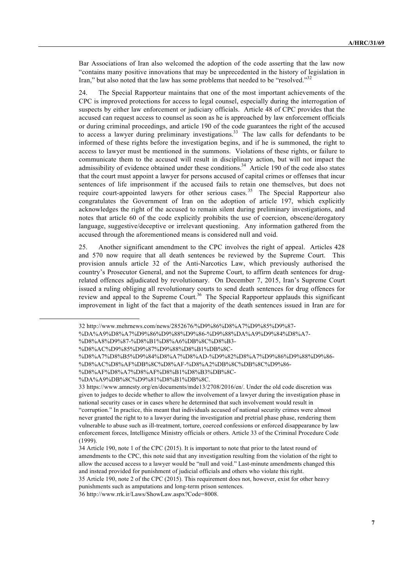Bar Associations of Iran also welcomed the adoption of the code asserting that the law now "contains many positive innovations that may be unprecedented in the history of legislation in Iran," but also noted that the law has some problems that needed to be "resolved."<sup>32</sup>

24. The Special Rapporteur maintains that one of the most important achievements of the CPC is improved protections for access to legal counsel, especially during the interrogation of suspects by either law enforcement or judiciary officials. Article 48 of CPC provides that the accused can request access to counsel as soon as he is approached by law enforcement officials or during criminal proceedings, and article 190 of the code guarantees the right of the accused to access a lawyer during preliminary investigations.<sup>33</sup> The law calls for defendants to be informed of these rights before the investigation begins, and if he is summoned, the right to access to lawyer must be mentioned in the summons. Violations of these rights, or failure to communicate them to the accused will result in disciplinary action, but will not impact the admissibility of evidence obtained under these conditions.<sup>34</sup> Article 190 of the code also states that the court must appoint a lawyer for persons accused of capital crimes or offenses that incur sentences of life imprisonment if the accused fails to retain one themselves, but does not require court-appointed lawyers for other serious cases.<sup>35</sup> The Special Rapporteur also congratulates the Government of Iran on the adoption of article 197, which explicitly acknowledges the right of the accused to remain silent during preliminary investigations, and notes that article 60 of the code explicitly prohibits the use of coercion, obscene/derogatory language, suggestive/deceptive or irrelevant questioning. Any information gathered from the accused through the aforementioned means is considered null and void.

25. Another significant amendment to the CPC involves the right of appeal. Articles 428 and 570 now require that all death sentences be reviewed by the Supreme Court. This provision annuls article 32 of the Anti-Narcotics Law, which previously authorised the country's Prosecutor General, and not the Supreme Court, to affirm death sentences for drugrelated offences adjudicated by revolutionary. On December 7, 2015, Iran's Supreme Court issued a ruling obliging all revolutionary courts to send death sentences for drug offences for review and appeal to the Supreme Court.<sup>36</sup> The Special Rapporteur applauds this significant improvement in light of the fact that a majority of the death sentences issued in Iran are for

32 http://www.mehrnews.com/news/2852676/%D9%86%D8%A7%D9%85%D9%87-

%DA%A9%D8%A7%D9%86%D9%88%D9%86-%D9%88%DA%A9%D9%84%D8%A7-

%D8%AF%D8%A7%D8%AF%D8%B1%D8%B3%DB%8C-

<sup>%</sup>D8%A8%D9%87-%D8%B1%D8%A6%DB%8C%D8%B3-

<sup>%</sup>D8%AC%D9%85%D9%87%D9%88%D8%B1%DB%8C-

<sup>%</sup>D8%A7%D8%B5%D9%84%D8%A7%D8%AD-%D9%82%D8%A7%D9%86%D9%88%D9%86-

<sup>%</sup>D8%AC%D8%AF%DB%8C%D8%AF-%D8%A2%DB%8C%DB%8C%D9%86-

<sup>%</sup>DA%A9%DB%8C%D9%81%D8%B1%DB%8C.

<sup>33</sup> https://www.amnesty.org/en/documents/mde13/2708/2016/en/. Under the old code discretion was given to judges to decide whether to allow the involvement of a lawyer during the investigation phase in national security cases or in cases where he determined that such involvement would result in "corruption." In practice, this meant that individuals accused of national security crimes were almost never granted the right to to a lawyer during the investigation and pretrial phase phase, rendering them vulnerable to abuse such as ill-treatment, torture, coerced confessions or enforced disappearance by law enforcement forces, Intelligence Ministry officials or others. Article 33 of the Criminal Procedure Code (1999).

<sup>34</sup> Article 190, note 1 of the CPC (2015). It is important to note that prior to the latest round of amendments to the CPC, this note said that any investigation resulting from the violation of the right to allow the accused access to a lawyer would be "null and void." Last-minute amendments changed this and instead provided for punishment of judicial officials and others who violate this right.

<sup>35</sup> Article 190, note 2 of the CPC (2015). This requirement does not, however, exist for other heavy punishments such as amputations and long-term prison sentences.

<sup>36</sup> http://www.rrk.ir/Laws/ShowLaw.aspx?Code=8008.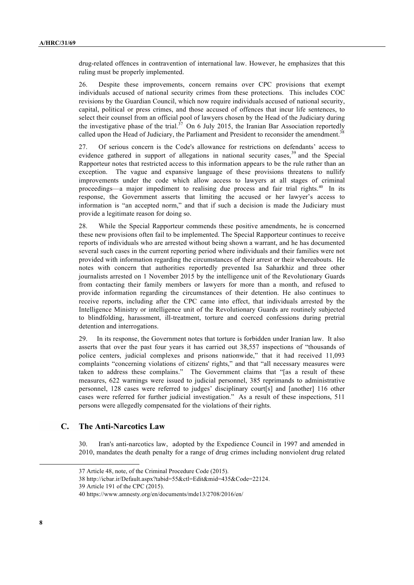drug-related offences in contravention of international law. However, he emphasizes that this ruling must be properly implemented.

26. Despite these improvements, concern remains over CPC provisions that exempt individuals accused of national security crimes from these protections. This includes COC revisions by the Guardian Council, which now require individuals accused of national security, capital, political or press crimes, and those accused of offences that incur life sentences, to select their counsel from an official pool of lawyers chosen by the Head of the Judiciary during the investigative phase of the trial.<sup> $37$ </sup> On 6 July 2015, the Iranian Bar Association reportedly called upon the Head of Judiciary, the Parliament and President to reconsider the amendment.<sup>38</sup>

27. Of serious concern is the Code's allowance for restrictions on defendants' access to evidence gathered in support of allegations in national security cases,  $39$  and the Special Rapporteur notes that restricted access to this information appears to be the rule rather than an exception. The vague and expansive language of these provisions threatens to nullify improvements under the code which allow access to lawyers at all stages of criminal proceedings—a major impediment to realising due process and fair trial rights.<sup>40</sup> In its response, the Government asserts that limiting the accused or her lawyer's access to information is "an accepted norm," and that if such a decision is made the Judiciary must provide a legitimate reason for doing so.

28. While the Special Rapporteur commends these positive amendments, he is concerned these new provisions often fail to be implemented. The Special Rapporteur continues to receive reports of individuals who are arrested without being shown a warrant, and he has documented several such cases in the current reporting period where individuals and their families were not provided with information regarding the circumstances of their arrest or their whereabouts. He notes with concern that authorities reportedly prevented Isa Saharkhiz and three other journalists arrested on 1 November 2015 by the intelligence unit of the Revolutionary Guards from contacting their family members or lawyers for more than a month, and refused to provide information regarding the circumstances of their detention. He also continues to receive reports, including after the CPC came into effect, that individuals arrested by the Intelligence Ministry or intelligence unit of the Revolutionary Guards are routinely subjected to blindfolding, harassment, ill-treatment, torture and coerced confessions during pretrial detention and interrogations.

29. In its response, the Government notes that torture is forbidden under Iranian law. It also asserts that over the past four years it has carried out 38,557 inspections of "thousands of police centers, judicial complexes and prisons nationwide," that it had received 11,093 complaints "concerning violations of citizens' rights," and that "all necessary measures were taken to address these complains." The Government claims that "[as a result of these measures, 622 warnings were issued to judicial personnel, 385 reprimands to administrative personnel, 128 cases were referred to judges' disciplinary court[s] and [another] 116 other cases were referred for further judicial investigation." As a result of these inspections, 511 persons were allegedly compensated for the violations of their rights.

## **C. The Anti-Narcotics Law**

30. Iran's anti-narcotics law, adopted by the Expedience Council in 1997 and amended in 2010, mandates the death penalty for a range of drug crimes including nonviolent drug related

<sup>37</sup> Article 48, note, of the Criminal Procedure Code (2015).

<sup>38</sup> http://icbar.ir/Default.aspx?tabid=55&ctl=Edit&mid=435&Code=22124.

<sup>39</sup> Article 191 of the CPC (2015).

<sup>40</sup> https://www.amnesty.org/en/documents/mde13/2708/2016/en/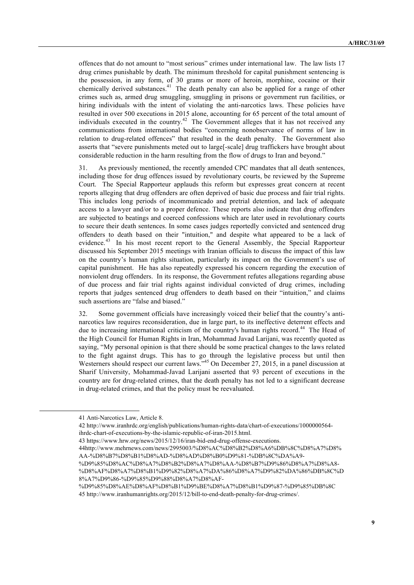offences that do not amount to "most serious" crimes under international law. The law lists 17 drug crimes punishable by death. The minimum threshold for capital punishment sentencing is the possession, in any form, of 30 grams or more of heroin, morphine, cocaine or their chemically derived substances.<sup>41</sup> The death penalty can also be applied for a range of other crimes such as, armed drug smuggling, smuggling in prisons or government run facilities, or hiring individuals with the intent of violating the anti-narcotics laws. These policies have resulted in over 500 executions in 2015 alone, accounting for 65 percent of the total amount of individuals executed in the country.<sup>42</sup> The Government alleges that it has not received any communications from international bodies "concerning nonobservance of norms of law in relation to drug-related offences" that resulted in the death penalty. The Government also asserts that "severe punishments meted out to large[-scale] drug traffickers have brought about considerable reduction in the harm resulting from the flow of drugs to Iran and beyond."

31. As previously mentioned, the recently amended CPC mandates that all death sentences, including those for drug offences issued by revolutionary courts, be reviewed by the Supreme Court. The Special Rapporteur applauds this reform but expresses great concern at recent reports alleging that drug offenders are often deprived of basic due process and fair trial rights. This includes long periods of incommunicado and pretrial detention, and lack of adequate access to a lawyer and/or to a proper defence. These reports also indicate that drug offenders are subjected to beatings and coerced confessions which are later used in revolutionary courts to secure their death sentences. In some cases judges reportedly convicted and sentenced drug offenders to death based on their "intuition," and despite what appeared to be a lack of evidence.<sup>43</sup> In his most recent report to the General Assembly, the Special Rapporteur discussed his September 2015 meetings with Iranian officials to discuss the impact of this law on the country's human rights situation, particularly its impact on the Government's use of capital punishment. He has also repeatedly expressed his concern regarding the execution of nonviolent drug offenders. In its response, the Government refutes allegations regarding abuse of due process and fair trial rights against individual convicted of drug crimes, including reports that judges sentenced drug offenders to death based on their "intuition," and claims such assertions are "false and biased."

32. Some government officials have increasingly voiced their belief that the country's antinarcotics law requires reconsideration, due in large part, to its ineffective deterrent effects and due to increasing international criticism of the country's human rights record.<sup>44</sup> The Head of the High Council for Human Rights in Iran, Mohammad Javad Larijani, was recently quoted as saying, "My personal opinion is that there should be some practical changes to the laws related to the fight against drugs. This has to go through the legislative process but until then Westerners should respect our current laws."<sup>45</sup> On December 27, 2015, in a panel discussion at Sharif University, Mohammad-Javad Larijani asserted that 93 percent of executions in the country are for drug-related crimes, that the death penalty has not led to a significant decrease in drug-related crimes, and that the policy must be reevaluated.

 $\overline{a}$ 

42 http://www.iranhrdc.org/english/publications/human-rights-data/chart-of-executions/1000000564 ihrdc-chart-of-executions-by-the-islamic-republic-of-iran-2015.html.

%D9%85%D8%AC%D8%A7%D8%B2%D8%A7%D8%AA-%D8%B7%D9%86%D8%A7%D8%A8- %D8%AF%D8%A7%D8%B1%D9%82%D8%A7%DA%86%D8%A7%D9%82%DA%86%DB%8C%D 8%A7%D9%86-%D9%85%D9%88%D8%A7%D8%AF-

<sup>41</sup> Anti-Narcotics Law, Article 8.

<sup>43</sup> https://www.hrw.org/news/2015/12/16/iran-bid-end-drug-offense-executions.

<sup>44</sup>http://www.mehrnews.com/news/2995003/%D8%AC%D8%B2%D8%A6%DB%8C%D8%A7%D8% AA-%D8%B7%D8%B1%D8%AD-%D8%AD%D8%B0%D9%81-%DB%8C%DA%A9-

<sup>%</sup>D9%85%D8%AE%D8%AF%D8%B1%D9%BE%D8%A7%D8%B1%D9%87-%D9%85%DB%8C 45 http://www.iranhumanrights.org/2015/12/bill-to-end-death-penalty-for-drug-crimes/.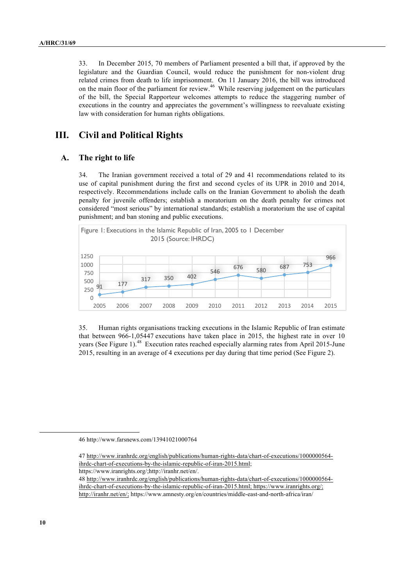33. In December 2015, 70 members of Parliament presented a bill that, if approved by the legislature and the Guardian Council, would reduce the punishment for non-violent drug related crimes from death to life imprisonment. On 11 January 2016, the bill was introduced on the main floor of the parliament for review.<sup>46</sup> While reserving judgement on the particulars of the bill, the Special Rapporteur welcomes attempts to reduce the staggering number of executions in the country and appreciates the government's willingness to reevaluate existing law with consideration for human rights obligations.

## **III. Civil and Political Rights**

#### **A. The right to life**

34. The Iranian government received a total of 29 and 41 recommendations related to its use of capital punishment during the first and second cycles of its UPR in 2010 and 2014, respectively. Recommendations include calls on the Iranian Government to abolish the death penalty for juvenile offenders; establish a moratorium on the death penalty for crimes not considered "most serious" by international standards; establish a moratorium the use of capital punishment; and ban stoning and public executions.



35. Human rights organisations tracking executions in the Islamic Republic of Iran estimate that between 966-1,05447 executions have taken place in 2015, the highest rate in over 10 years (See Figure 1).<sup>48</sup> Execution rates reached especially alarming rates from April 2015-June 2015, resulting in an average of 4 executions per day during that time period (See Figure 2).

46 http://www.farsnews.com/13941021000764

47 http://www.iranhrdc.org/english/publications/human-rights-data/chart-of-executions/1000000564 ihrdc-chart-of-executions-by-the-islamic-republic-of-iran-2015.html;

https://www.iranrights.org/;http://iranhr.net/en/.

48 http://www.iranhrdc.org/english/publications/human-rights-data/chart-of-executions/1000000564 ihrdc-chart-of-executions-by-the-islamic-republic-of-iran-2015.html; https://www.iranrights.org/; http://iranhr.net/en/; https://www.amnesty.org/en/countries/middle-east-and-north-africa/iran/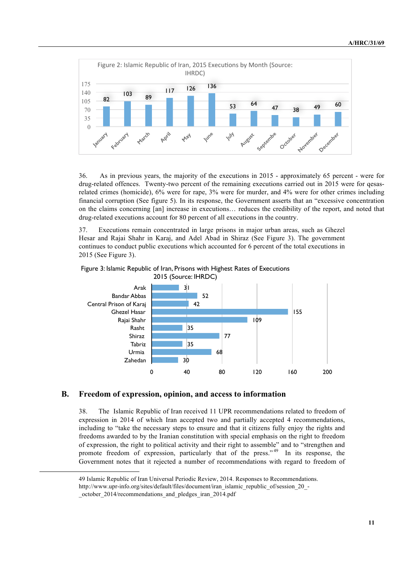

36. As in previous years, the majority of the executions in 2015 - approximately 65 percent - were for drug-related offences. Twenty-two percent of the remaining executions carried out in 2015 were for qesasrelated crimes (homicide), 6% were for rape, 3% were for murder, and 4% were for other crimes including financial corruption (See figure 5). In its response, the Government asserts that an "excessive concentration on the claims concerning [an] increase in executions… reduces the credibility of the report, and noted that drug-related executions account for 80 percent of all executions in the country.

37. Executions remain concentrated in large prisons in major urban areas, such as Ghezel Hesar and Rajai Shahr in Karaj, and Adel Abad in Shiraz (See Figure 3). The government continues to conduct public executions which accounted for 6 percent of the total executions in 2015 (See Figure 3).





#### **B. Freedom of expression, opinion, and access to information**

38. The Islamic Republic of Iran received 11 UPR recommendations related to freedom of expression in 2014 of which Iran accepted two and partially accepted 4 recommendations, including to "take the necessary steps to ensure and that it citizens fully enjoy the rights and freedoms awarded to by the Iranian constitution with special emphasis on the right to freedom of expression, the right to political activity and their right to assemble" and to "strengthen and promote freedom of expression, particularly that of the press."<sup>49</sup> In its response, the Government notes that it rejected a number of recommendations with regard to freedom of

<sup>49</sup> Islamic Republic of Iran Universal Periodic Review, 2014. Responses to Recommendations.

http://www.upr-info.org/sites/default/files/document/iran\_islamic\_republic\_of/session\_20\_-

\_october\_2014/recommendations\_and\_pledges\_iran\_2014.pdf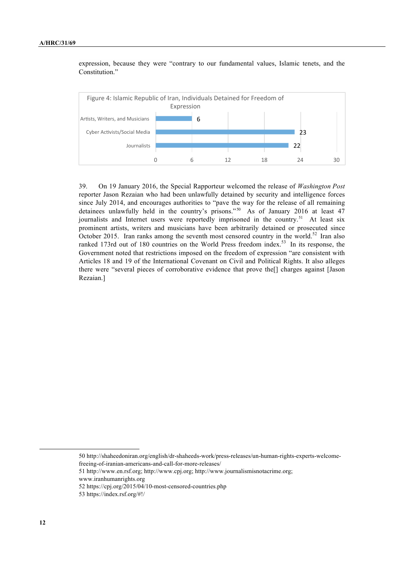expression, because they were "contrary to our fundamental values, Islamic tenets, and the Constitution."



39. On 19 January 2016, the Special Rapporteur welcomed the release of *Washington Post* reporter Jason Rezaian who had been unlawfully detained by security and intelligence forces since July 2014, and encourages authorities to "pave the way for the release of all remaining detainees unlawfully held in the country's prisons."<sup>50</sup> As of January 2016 at least 47 journalists and Internet users were reportedly imprisoned in the country.<sup>51</sup> At least six prominent artists, writers and musicians have been arbitrarily detained or prosecuted since October 2015. Iran ranks among the seventh most censored country in the world.<sup>52</sup> Iran also ranked 173rd out of 180 countries on the World Press freedom index.<sup>53</sup> In its response, the Government noted that restrictions imposed on the freedom of expression "are consistent with Articles 18 and 19 of the International Covenant on Civil and Political Rights. It also alleges there were "several pieces of corroborative evidence that prove the[] charges against [Jason Rezaian.]

51 http://www.en.rsf.org; http://www.cpj.org; http://www.journalismisnotacrime.org; www.iranhumanrights.org

53 https://index.rsf.org/#!/

<sup>50</sup> http://shaheedoniran.org/english/dr-shaheeds-work/press-releases/un-human-rights-experts-welcomefreeing-of-iranian-americans-and-call-for-more-releases/

<sup>52</sup> https://cpj.org/2015/04/10-most-censored-countries.php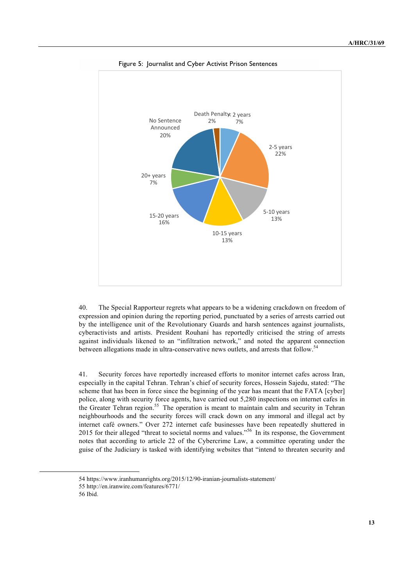

Figure 5: Journalist and Cyber Activist Prison Sentences

40. The Special Rapporteur regrets what appears to be a widening crackdown on freedom of expression and opinion during the reporting period, punctuated by a series of arrests carried out by the intelligence unit of the Revolutionary Guards and harsh sentences against journalists, cyberactivists and artists. President Rouhani has reportedly criticised the string of arrests against individuals likened to an "infiltration network," and noted the apparent connection between allegations made in ultra-conservative news outlets, and arrests that follow.<sup>54</sup>

41. Security forces have reportedly increased efforts to monitor internet cafes across Iran, especially in the capital Tehran. Tehran's chief of security forces, Hossein Sajedu, stated: "The scheme that has been in force since the beginning of the year has meant that the FATA [cyber] police, along with security force agents, have carried out 5,280 inspections on internet cafes in the Greater Tehran region.<sup>55</sup> The operation is meant to maintain calm and security in Tehran neighbourhoods and the security forces will crack down on any immoral and illegal act by internet café owners." Over 272 internet cafe businesses have been repeatedly shuttered in 2015 for their alleged "threat to societal norms and values."<sup>56</sup> In its response, the Government notes that according to article 22 of the Cybercrime Law, a committee operating under the guise of the Judiciary is tasked with identifying websites that "intend to threaten security and

<sup>54</sup> https://www.iranhumanrights.org/2015/12/90-iranian-journalists-statement/

<sup>55</sup> http://en.iranwire.com/features/6771/

<sup>56</sup> Ibid.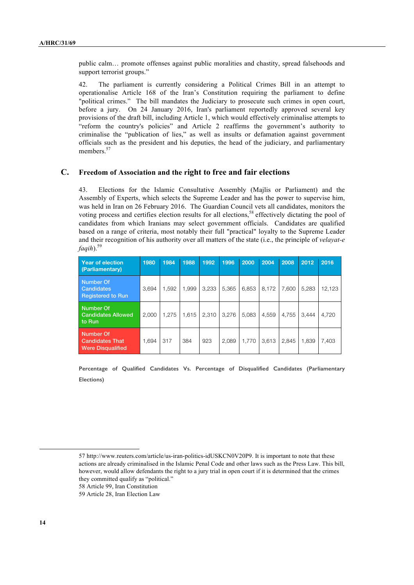public calm… promote offenses against public moralities and chastity, spread falsehoods and support terrorist groups."

42. The parliament is currently considering a Political Crimes Bill in an attempt to operationalise Article 168 of the Iran's Constitution requiring the parliament to define "political crimes." The bill mandates the Judiciary to prosecute such crimes in open court, before a jury. On 24 January 2016, Iran's parliament reportedly approved several key provisions of the draft bill, including Article 1, which would effectively criminalise attempts to "reform the country's policies" and Article 2 reaffirms the government's authority to criminalise the "publication of lies," as well as insults or defamation against government officials such as the president and his deputies, the head of the judiciary, and parliamentary members<sup>57</sup>

#### **C. Freedom of Association and the right to free and fair elections**

43. Elections for the Islamic Consultative Assembly (Majlis or Parliament) and the Assembly of Experts, which selects the Supreme Leader and has the power to supervise him, was held in Iran on 26 February 2016. The Guardian Council vets all candidates, monitors the voting process and certifies election results for all elections,<sup>58</sup> effectively dictating the pool of candidates from which Iranians may select government officials. Candidates are qualified based on a range of criteria, most notably their full "practical" loyalty to the Supreme Leader and their recognition of his authority over all matters of the state (i.e., the principle of *velayat-e faqih*).59

| Year of election<br>(Parliamentary)                             | 1980  | 1984  | 1988  | 1992  | 1996  | 2000  | 2004  | 2008  | 2012  | 2016   |
|-----------------------------------------------------------------|-------|-------|-------|-------|-------|-------|-------|-------|-------|--------|
| Number Of<br><b>Candidates</b><br>Registered to Run             | 3.694 | 1.592 | 1.999 | 3.233 | 5.365 | 6.853 | 8.172 | 7.600 | 5.283 | 12.123 |
| Number Of<br><b>Candidates Allowed</b><br>to Run                | 2.000 | 1.275 | 1.615 | 2.310 | 3.276 | 5.083 | 4,559 | 4.755 | 3.444 | 4,720  |
| Number Of<br><b>Candidates That</b><br><b>Were Disqualified</b> | 1.694 | 317   | 384   | 923   | 2.089 | 1.770 | 3.613 | 2.845 | 1,839 | 7,403  |

**Percentage of Qualified Candidates Vs. Percentage of Disqualified Candidates (Parliamentary Elections)**

57 http://www.reuters.com/article/us-iran-politics-idUSKCN0V20P9. It is important to note that these actions are already criminalised in the Islamic Penal Code and other laws such as the Press Law. This bill, however, would allow defendants the right to a jury trial in open court if it is determined that the crimes they committed qualify as "political."

58 Article 99, Iran Constitution

59 Article 28, Iran Election Law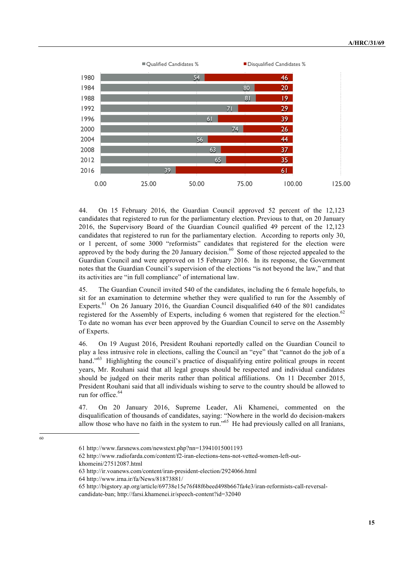

44. On 15 February 2016, the Guardian Council approved 52 percent of the 12,123 candidates that registered to run for the parliamentary election. Previous to that, on 20 January 2016, the Supervisory Board of the Guardian Council qualified 49 percent of the 12,123 candidates that registered to run for the parliamentary election. According to reports only 30, or 1 percent, of some 3000 "reformists" candidates that registered for the election were approved by the body during the 20 January decision.<sup>60</sup> Some of those rejected appealed to the Guardian Council and were approved on 15 February 2016. In its response, the Government notes that the Guardian Council's supervision of the elections "is not beyond the law," and that its activities are "in full compliance" of international law.

45. The Guardian Council invited 540 of the candidates, including the 6 female hopefuls, to sit for an examination to determine whether they were qualified to run for the Assembly of Experts.<sup>61</sup> On 26 January 2016, the Guardian Council disqualified 640 of the 801 candidates registered for the Assembly of Experts, including 6 women that registered for the election.<sup>62</sup> To date no woman has ever been approved by the Guardian Council to serve on the Assembly of Experts.

46. On 19 August 2016, President Rouhani reportedly called on the Guardian Council to play a less intrusive role in elections, calling the Council an "eye" that "cannot do the job of a hand."<sup>63</sup> Highlighting the council's practice of disqualifying entire political groups in recent years, Mr. Rouhani said that all legal groups should be respected and individual candidates should be judged on their merits rather than political affiliations. On 11 December 2015, President Rouhani said that all individuals wishing to serve to the country should be allowed to run for office.<sup>64</sup>

47. On 20 January 2016, Supreme Leader, Ali Khamenei, commented on the disqualification of thousands of candidates, saying: "Nowhere in the world do decision-makers allow those who have no faith in the system to run."<sup>65</sup> He had previously called on all Iranians,

60

<sup>61</sup> http://www.farsnews.com/newstext.php?nn=13941015001193

<sup>62</sup> http://www.radiofarda.com/content/f2-iran-elections-tens-not-vetted-women-left-outkhomeini/27512087.html

<sup>63</sup> http://ir.voanews.com/content/iran-president-election/2924066.html

<sup>64</sup> http://www.irna.ir/fa/News/81873881/

<sup>65</sup> http://bigstory.ap.org/article/69738e15e76f48f6beed498b667fa4e3/iran-reformists-call-reversalcandidate-ban; http://farsi.khamenei.ir/speech-content?id=32040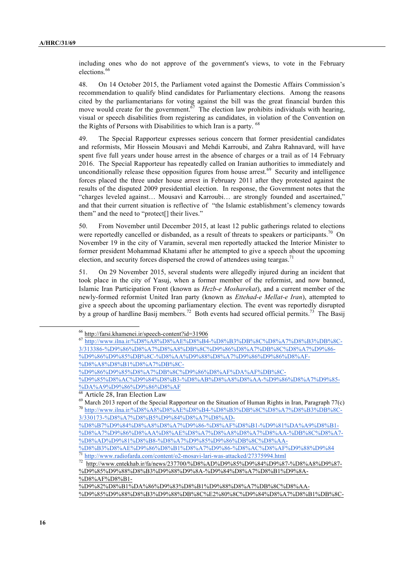including ones who do not approve of the government's views, to vote in the February elections.<sup>66</sup>

48. On 14 October 2015, the Parliament voted against the Domestic Affairs Commission's recommendation to qualify blind candidates for Parliamentary elections. Among the reasons cited by the parliamentarians for voting against the bill was the great financial burden this move would create for the government.<sup>67</sup> The election law prohibits individuals with hearing, visual or speech disabilities from registering as candidates, in violation of the Convention on the Rights of Persons with Disabilities to which Iran is a party. <sup>68</sup>

49. The Special Rapporteur expresses serious concern that former presidential candidates and reformists, Mir Hossein Mousavi and Mehdi Karroubi, and Zahra Rahnavard, will have spent five full years under house arrest in the absence of charges or a trail as of 14 February 2016. The Special Rapporteur has repeatedly called on Iranian authorities to immediately and unconditionally release these opposition figures from house arrest. $69$  Security and intelligence forces placed the three under house arrest in February 2011 after they protested against the results of the disputed 2009 presidential election. In response, the Government notes that the "charges leveled against… Mousavi and Karroubi… are strongly founded and ascertained," and that their current situation is reflective of "the Islamic establishment's clemency towards them" and the need to "protect[] their lives."

50. From November until December 2015, at least 12 public gatherings related to elections were reportedly cancelled or disbanded, as a result of threats to speakers or participants.<sup>70</sup> On November 19 in the city of Varamin, several men reportedly attacked the Interior Minister to former president Mohammad Khatami after he attempted to give a speech about the upcoming election, and security forces dispersed the crowd of attendees using teargas.<sup>7</sup>

51. On 29 November 2015, several students were allegedly injured during an incident that took place in the city of Yasuj, when a former member of the reformist, and now banned, Islamic Iran Participation Front (known as *Hezb-e Mosharekat*), and a current member of the newly-formed reformist United Iran party (known as *Ettehad-e Mellat-e Iran*), attempted to give a speech about the upcoming parliamentary election. The event was reportedly disrupted by a group of hardline Basij members.<sup>72</sup> Both events had secured official permits.<sup>73</sup> The Basij

 <sup>66</sup> http://farsi.khamenei.ir/speech-content?id=31906

<sup>67</sup> http://www.ilna.ir/%D8%A8%D8%AE%D8%B4-%D8%B3%DB%8C%D8%A7%D8%B3%DB%8C-

<sup>3/313386-%</sup>D9%86%D8%A7%D8%A8%DB%8C%D9%86%D8%A7%DB%8C%D8%A7%D9%86-

<sup>%</sup>D9%86%D9%85%DB%8C-%D8%AA%D9%88%D8%A7%D9%86%D9%86%D8%AF- %D8%A8%D8%B1%D8%A7%DB%8C-

<sup>%</sup>D9%86%D9%85%D8%A7%DB%8C%D9%86%D8%AF%DA%AF%DB%8C-

<sup>%</sup>D9%85%D8%AC%D9%84%D8%B3-%D8%AB%D8%A8%D8%AA-%D9%86%D8%A7%D9%85- %DA%A9%D9%86%D9%86%D8%AF

Article 28, Iran Election Law

<sup>&</sup>lt;sup>69</sup> March 2013 report of the Special Rapporteur on the Situation of Human Rights in Iran, Paragraph 77(c) <sup>70</sup> http://www.ilna.ir/%D8%A8%D8%AE%D8%B4-%D8%B3%DB%8C%D8%A7%D8%B3%DB%8C-3/330173-%D8%A7%D8%B5%D9%84%D8%A7%D8%AD-

<sup>%</sup>D8%B7%D9%84%D8%A8%D8%A7%D9%86-%D8%AF%D8%B1-%D9%81%DA%A9%D8%B1- %D8%A7%D9%86%D8%AA%D8%AE%D8%A7%D8%A8%D8%A7%D8%AA-%DB%8C%D8%A7- %D8%AD%D9%81%D8%B8-%D8%A7%D9%85%D9%86%DB%8C%D8%AA-

<sup>%</sup>D8%B3%D8%AE%D9%86%D8%B1%D8%A7%D9%86-%D8%AC%D8%AF%D9%88%D9%84 <sup>71</sup> http://www.radiofarda.com/content/o2-mosavi-lari-was-attacked/27375994.html

<sup>72</sup> http://www.entekhab.ir/fa/news/237700/%D8%AD%D9%85%D9%84%D9%87-%D8%A8%D9%87- %D9%85%D9%88%D8%B3%D9%88%D9%8A-%D9%84%D8%A7%D8%B1%D9%8A- %D8%AF%D8%B1-

<sup>%</sup>D9%82%D8%B1%DA%86%D9%83%D8%B1%D9%88%D8%A7%DB%8C%D8%AA- %D9%85%D9%88%D8%B3%D9%88%DB%8C%E2%80%8C%D9%84%D8%A7%D8%B1%DB%8C-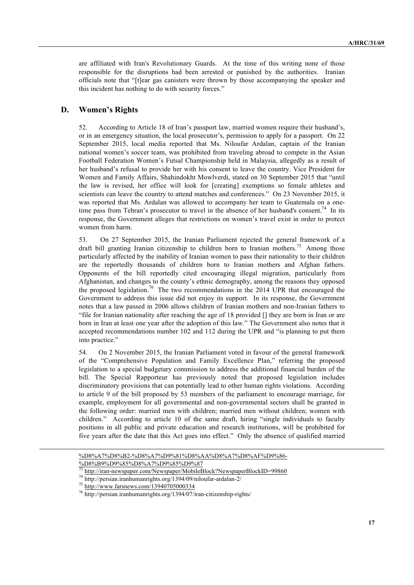are affiliated with Iran's Revolutionary Guards. At the time of this writing none of those responsible for the disruptions had been arrested or punished by the authorities. Iranian officials note that "[t]ear gas canisters were thrown by those accompanying the speaker and this incident has nothing to do with security forces."

#### **D. Women's Rights**

52. According to Article 18 of Iran's passport law, married women require their husband's, or in an emergency situation, the local prosecutor's, permission to apply for a passport. On 22 September 2015, local media reported that Ms. Niloufar Ardalan, captain of the Iranian national women's soccer team, was prohibited from traveling abroad to compete in the Asian Football Federation Women's Futsal Championship held in Malaysia, allegedly as a result of her husband's refusal to provide her with his consent to leave the country. Vice President for Women and Family Affairs, Shahindokht Mowlverdi, stated on 30 September 2015 that "until the law is revised, her office will look for [creating] exemptions so female athletes and scientists can leave the country to attend matches and conferences." On 23 November 2015, it was reported that Ms. Ardalan was allowed to accompany her team to Guatemala on a onetime pass from Tehran's prosecutor to travel in the absence of her husband's consent.<sup>74</sup> In its response, the Government alleges that restrictions on women's travel exist in order to protect women from harm.

53. On 27 September 2015, the Iranian Parliament rejected the general framework of a draft bill granting Iranian citizenship to children born to Iranian mothers.<sup>75</sup> Among those particularly affected by the inability of Iranian women to pass their nationality to their children are the reportedly thousands of children born to Iranian mothers and Afghan fathers. Opponents of the bill reportedly cited encouraging illegal migration, particularly from Afghanistan, and changes to the county's ethnic demography, among the reasons they opposed the proposed legislation.<sup>76</sup> The two recommendations in the 2014 UPR that encouraged the Government to address this issue did not enjoy its support. In its response, the Government notes that a law passed in 2006 allows children of Iranian mothers and non-Iranian fathers to "file for Iranian nationality after reaching the age of 18 provided [] they are born in Iran or are born in Iran at least one year after the adoption of this law." The Government also notes that it accepted recommendations number 102 and 112 during the UPR and "is planning to put them into practice."

54. On 2 November 2015, the Iranian Parliament voted in favour of the general framework of the "Comprehensive Population and Family Excellence Plan," referring the proposed legislation to a special budgetary commission to address the additional financial burden of the bill. The Special Rapporteur has previously noted that proposed legislation includes discriminatory provisions that can potentially lead to other human rights violations. According to article 9 of the bill proposed by 53 members of the parliament to encourage marriage, for example, employment for all governmental and non-governmental sectors shall be granted in the following order: married men with children; married men without children; women with children." According to article 10 of the same draft, hiring "single individuals to faculty positions in all public and private education and research institutions, will be prohibited for five years after the date that this Act goes into effect." Only the absence of qualified married

<sup>%</sup>D8%A7%D8%B2-%D8%A7%D9%81%D8%AA%D8%A7%D8%AF%D9%86- %D8%B9%D9%85%D8%A7%D9%85%D9%87

<sup>73</sup> http://iran-newspaper.com/Newspaper/MobileBlock?NewspaperBlockID=99860

<sup>74</sup> http://persian.iranhumanrights.org/1394/09/niloufar-ardalan-2/

<sup>75</sup> http://www.farsnews.com/13940705000334

<sup>76</sup> http://persian.iranhumanrights.org/1394/07/iran-citizenship-rights/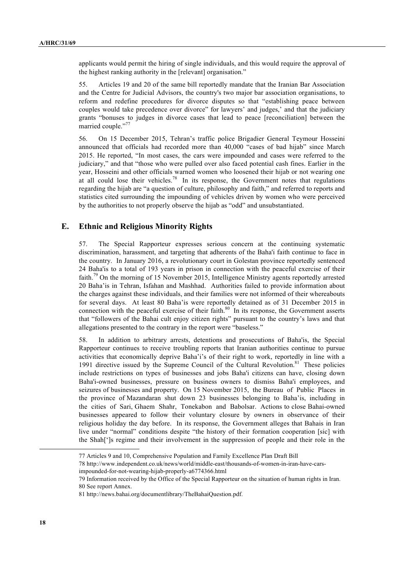applicants would permit the hiring of single individuals, and this would require the approval of the highest ranking authority in the [relevant] organisation."

55. Articles 19 and 20 of the same bill reportedly mandate that the Iranian Bar Association and the Centre for Judicial Advisors, the country's two major bar association organisations, to reform and redefine procedures for divorce disputes so that "establishing peace between couples would take precedence over divorce" for lawyers' and judges,' and that the judiciary grants "bonuses to judges in divorce cases that lead to peace [reconciliation] between the married couple."<sup>77</sup>

56. On 15 December 2015, Tehran's traffic police Brigadier General Teymour Hosseini announced that officials had recorded more than 40,000 "cases of bad hijab" since March 2015. He reported, "In most cases, the cars were impounded and cases were referred to the judiciary," and that "those who were pulled over also faced potential cash fines. Earlier in the year, Hosseini and other officials warned women who loosened their hijab or not wearing one at all could lose their vehicles.<sup>78</sup> In its response, the Government notes that regulations regarding the hijab are "a question of culture, philosophy and faith," and referred to reports and statistics cited surrounding the impounding of vehicles driven by women who were perceived by the authorities to not properly observe the hijab as "odd" and unsubstantiated.

#### **E. Ethnic and Religious Minority Rights**

57. The Special Rapporteur expresses serious concern at the continuing systematic discrimination, harassment, and targeting that adherents of the Baha'i faith continue to face in the country. In January 2016, a revolutionary court in Golestan province reportedly sentenced 24 Baha'is to a total of 193 years in prison in connection with the peaceful exercise of their faith.<sup>79</sup> On the morning of 15 November 2015, Intelligence Ministry agents reportedly arrested 20 Baha'is in Tehran, Isfahan and Mashhad. Authorities failed to provide information about the charges against these individuals, and their families were not informed of their whereabouts for several days. At least 80 Baha'is were reportedly detained as of 31 December 2015 in connection with the peaceful exercise of their faith.<sup>80</sup> In its response, the Government asserts that "followers of the Bahai cult enjoy citizen rights" pursuant to the country's laws and that allegations presented to the contrary in the report were "baseless."

58. In addition to arbitrary arrests, detentions and prosecutions of Baha'is, the Special Rapporteur continues to receive troubling reports that Iranian authorities continue to pursue activities that economically deprive Baha'i's of their right to work, reportedly in line with a 1991 directive issued by the Supreme Council of the Cultural Revolution. $81$  These policies include restrictions on types of businesses and jobs Baha'i citizens can have, closing down Baha'i-owned businesses, pressure on business owners to dismiss Baha'i employees, and seizures of businesses and property. On 15 November 2015, the Bureau of Public Places in the province of Mazandaran shut down 23 businesses belonging to Baha'is, including in the cities of Sari, Ghaem Shahr, Tonekabon and Babolsar. Actions to close Bahai-owned businesses appeared to follow their voluntary closure by owners in observance of their religious holiday the day before. In its response, the Government alleges that Bahais in Iran live under "normal" conditions despite "the history of their formation cooperation [sic] with the Shah[']s regime and their involvement in the suppression of people and their role in the

impounded-for-not-wearing-hijab-properly-a6774366.html

<sup>77</sup> Articles 9 and 10, Comprehensive Population and Family Excellence Plan Draft Bill

<sup>78</sup> http://www.independent.co.uk/news/world/middle-east/thousands-of-women-in-iran-have-cars-

<sup>79</sup> Information received by the Office of the Special Rapporteur on the situation of human rights in Iran. 80 See report Annex.

<sup>81</sup> http://news.bahai.org/documentlibrary/TheBahaiQuestion.pdf.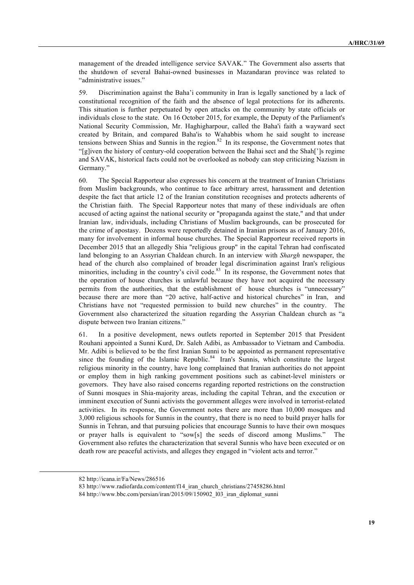management of the dreaded intelligence service SAVAK." The Government also asserts that the shutdown of several Bahai-owned businesses in Mazandaran province was related to "administrative issues."

59. Discrimination against the Baha'i community in Iran is legally sanctioned by a lack of constitutional recognition of the faith and the absence of legal protections for its adherents. This situation is further perpetuated by open attacks on the community by state officials or individuals close to the state. On 16 October 2015, for example, the Deputy of the Parliament's National Security Commission, Mr. Haghigharpour, called the Baha'i faith a wayward sect created by Britain, and compared Baha'is to Wahabbis whom he said sought to increase tensions between Shias and Sunnis in the region.<sup>82</sup> In its response, the Government notes that "[g]iven the history of century-old cooperation between the Bahai sect and the Shah[']s regime and SAVAK, historical facts could not be overlooked as nobody can stop criticizing Nazism in Germany."

60. The Special Rapporteur also expresses his concern at the treatment of Iranian Christians from Muslim backgrounds, who continue to face arbitrary arrest, harassment and detention despite the fact that article 12 of the Iranian constitution recognises and protects adherents of the Christian faith. The Special Rapporteur notes that many of these individuals are often accused of acting against the national security or "propaganda against the state," and that under Iranian law, individuals, including Christians of Muslim backgrounds, can be prosecuted for the crime of apostasy. Dozens were reportedly detained in Iranian prisons as of January 2016, many for involvement in informal house churches. The Special Rapporteur received reports in December 2015 that an allegedly Shia "religious group" in the capital Tehran had confiscated land belonging to an Assyrian Chaldean church. In an interview with *Shargh* newspaper, the head of the church also complained of broader legal discrimination against Iran's religious minorities, including in the country's civil code.<sup>83</sup> In its response, the Government notes that the operation of house churches is unlawful because they have not acquired the necessary permits from the authorities, that the establishment of house churches is "unnecessary" because there are more than "20 active, half-active and historical churches" in Iran, and Christians have not "requested permission to build new churches" in the country. The Government also characterized the situation regarding the Assyrian Chaldean church as "a dispute between two Iranian citizens."

61. In a positive development, news outlets reported in September 2015 that President Rouhani appointed a Sunni Kurd, Dr. Saleh Adibi, as Ambassador to Vietnam and Cambodia. Mr. Adibi is believed to be the first Iranian Sunni to be appointed as permanent representative since the founding of the Islamic Republic.<sup>84</sup> Iran's Sunnis, which constitute the largest religious minority in the country, have long complained that Iranian authorities do not appoint or employ them in high ranking government positions such as cabinet-level ministers or governors. They have also raised concerns regarding reported restrictions on the construction of Sunni mosques in Shia-majority areas, including the capital Tehran, and the execution or imminent execution of Sunni activists the government alleges were involved in terrorist-related activities. In its response, the Government notes there are more than 10,000 mosques and 3,000 religious schools for Sunnis in the country, that there is no need to build prayer halls for Sunnis in Tehran, and that pursuing policies that encourage Sunnis to have their own mosques or prayer halls is equivalent to "sow[s] the seeds of discord among Muslims." The Government also refutes the characterization that several Sunnis who have been executed or on death row are peaceful activists, and alleges they engaged in "violent acts and terror."

<sup>82</sup> http://icana.ir/Fa/News/286516

<sup>83</sup> http://www.radiofarda.com/content/f14\_iran\_church\_christians/27458286.html

<sup>84</sup> http://www.bbc.com/persian/iran/2015/09/150902\_l03\_iran\_diplomat\_sunni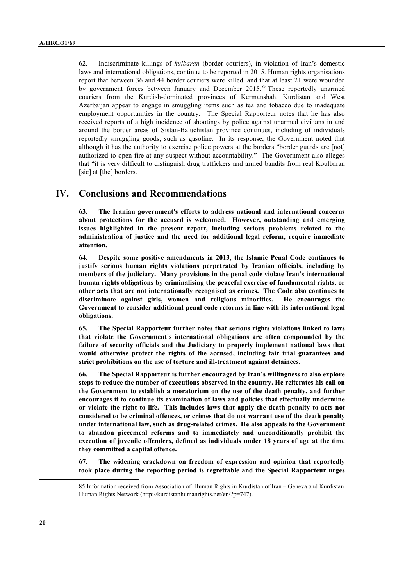62. Indiscriminate killings of *kulbaran* (border couriers), in violation of Iran's domestic laws and international obligations, continue to be reported in 2015. Human rights organisations report that between 36 and 44 border couriers were killed, and that at least 21 were wounded by government forces between January and December 2015.<sup>85</sup> These reportedly unarmed couriers from the Kurdish-dominated provinces of Kermanshah, Kurdistan and West Azerbaijan appear to engage in smuggling items such as tea and tobacco due to inadequate employment opportunities in the country. The Special Rapporteur notes that he has also received reports of a high incidence of shootings by police against unarmed civilians in and around the border areas of Sistan-Baluchistan province continues, including of individuals reportedly smuggling goods, such as gasoline. In its response, the Government noted that although it has the authority to exercise police powers at the borders "border guards are [not] authorized to open fire at any suspect without accountability." The Government also alleges that "it is very difficult to distinguish drug traffickers and armed bandits from real Koulbaran [sic] at [the] borders.

## **IV. Conclusions and Recommendations**

**63. The Iranian government's efforts to address national and international concerns about protections for the accused is welcomed. However, outstanding and emerging issues highlighted in the present report, including serious problems related to the administration of justice and the need for additional legal reform, require immediate attention.**

**64**. D**espite some positive amendments in 2013, the Islamic Penal Code continues to justify serious human rights violations perpetrated by Iranian officials, including by members of the judiciary. Many provisions in the penal code violate Iran's international human rights obligations by criminalising the peaceful exercise of fundamental rights, or other acts that are not internationally recognised as crimes. The Code also continues to discriminate against girls, women and religious minorities. He encourages the Government to consider additional penal code reforms in line with its international legal obligations.** 

**65. The Special Rapporteur further notes that serious rights violations linked to laws that violate the Government's international obligations are often compounded by the failure of security officials and the Judiciary to properly implement national laws that would otherwise protect the rights of the accused, including fair trial guarantees and strict prohibitions on the use of torture and ill-treatment against detainees.**

**66. The Special Rapporteur is further encouraged by Iran's willingness to also explore steps to reduce the number of executions observed in the country. He reiterates his call on the Government to establish a moratorium on the use of the death penalty, and further encourages it to continue its examination of laws and policies that effectually undermine or violate the right to life. This includes laws that apply the death penalty to acts not considered to be criminal offences, or crimes that do not warrant use of the death penalty under international law, such as drug-related crimes. He also appeals to the Government to abandon piecemeal reforms and to immediately and unconditionally prohibit the execution of juvenile offenders, defined as individuals under 18 years of age at the time they committed a capital offence.**

**67. The widening crackdown on freedom of expression and opinion that reportedly took place during the reporting period is regrettable and the Special Rapporteur urges**

<sup>85</sup> Information received from Association of Human Rights in Kurdistan of Iran – Geneva and Kurdistan Human Rights Network (http://kurdistanhumanrights.net/en/?p=747).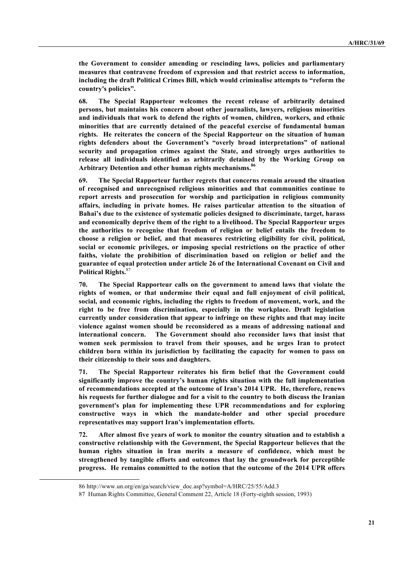**the Government to consider amending or rescinding laws, policies and parliamentary measures that contravene freedom of expression and that restrict access to information, including the draft Political Crimes Bill, which would criminalise attempts to "reform the country's policies".** 

**68. The Special Rapporteur welcomes the recent release of arbitrarily detained persons, but maintains his concern about other journalists, lawyers, religious minorities and individuals that work to defend the rights of women, children, workers, and ethnic minorities that are currently detained of the peaceful exercise of fundamental human rights. He reiterates the concern of the Special Rapporteur on the situation of human rights defenders about the Government's "overly broad interpretations" of national security and propagation crimes against the State, and strongly urges authorities to release all individuals identified as arbitrarily detained by the Working Group on Arbitrary Detention and other human rights mechanisms.86** 

**69. The Special Rapporteur further regrets that concerns remain around the situation of recognised and unrecognised religious minorities and that communities continue to report arrests and prosecution for worship and participation in religious community affairs, including in private homes. He raises particular attention to the situation of Bahai's due to the existence of systematic policies designed to discriminate, target, harass and economically deprive them of the right to a livelihood. The Special Rapporteur urges the authorities to recognise that freedom of religion or belief entails the freedom to choose a religion or belief, and that measures restricting eligibility for civil, political, social or economic privileges, or imposing special restrictions on the practice of other faiths, violate the prohibition of discrimination based on religion or belief and the guarantee of equal protection under article 26 of the International Covenant on Civil and Political Rights.**<sup>87</sup>

**70. The Special Rapporteur calls on the government to amend laws that violate the rights of women, or that undermine their equal and full enjoyment of civil political, social, and economic rights, including the rights to freedom of movement, work, and the right to be free from discrimination, especially in the workplace. Draft legislation currently under consideration that appear to infringe on these rights and that may incite violence against women should be reconsidered as a means of addressing national and international concern. The Government should also reconsider laws that insist that women seek permission to travel from their spouses, and he urges Iran to protect children born within its jurisdiction by facilitating the capacity for women to pass on their citizenship to their sons and daughters.**

**71. The Special Rapporteur reiterates his firm belief that the Government could significantly improve the country's human rights situation with the full implementation of recommendations accepted at the outcome of Iran's 2014 UPR. He, therefore, renews his requests for further dialogue and for a visit to the country to both discuss the Iranian government's plan for implementing these UPR recommendations and for exploring constructive ways in which the mandate-holder and other special procedure representatives may support Iran's implementation efforts.**

**72. After almost five years of work to monitor the country situation and to establish a constructive relationship with the Government, the Special Rapporteur believes that the human rights situation in Iran merits a measure of confidence, which must be strengthened by tangible efforts and outcomes that lay the groundwork for perceptible progress. He remains committed to the notion that the outcome of the 2014 UPR offers**

<sup>86</sup> http://www.un.org/en/ga/search/view\_doc.asp?symbol=A/HRC/25/55/Add.3

<sup>87</sup> Human Rights Committee, General Comment 22, Article 18 (Forty-eighth session, 1993)